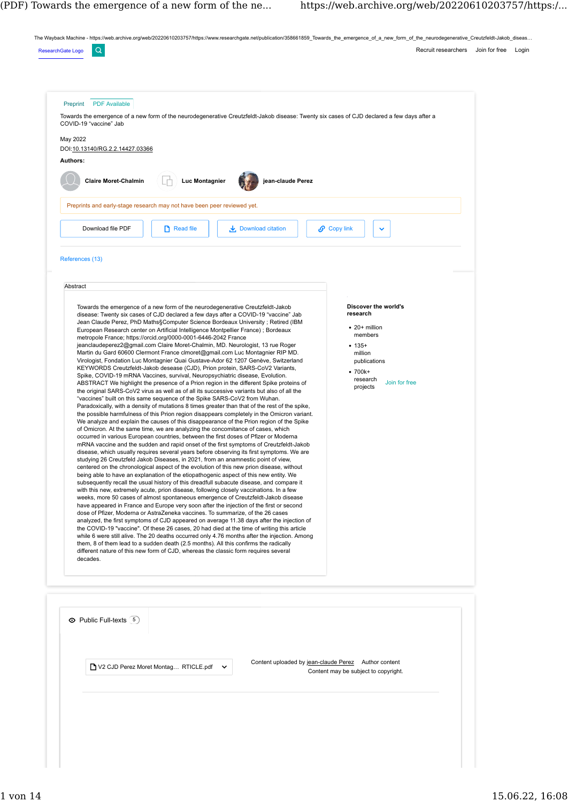The Wayback Machine - https://web.archive.org/web/20220610203757/https://www.researchgate.net/publication/358661859\_Towards\_the\_emergence\_of\_a\_new\_form\_of\_the\_neurodegenerative\_Creutzfeldt-Jakob\_diseas...

| COVID-19 "vaccine" Jab                                                                 | Towards the emergence of a new form of the neurodegenerative Creutzfeldt-Jakob disease: Twenty six cases of CJD declared a few days after a                                                                                                                                                                                                                                                                                                                                                                                                                                                                                                                                                                                                                                                                                                                                                                                                                                                                                                                                                                                                                                                                                                                                                                                                                                                                                                                                                                                                                                                                                                                                                                                                                                                                                                                                                                                                                     |                                                                                                                                          |  |
|----------------------------------------------------------------------------------------|-----------------------------------------------------------------------------------------------------------------------------------------------------------------------------------------------------------------------------------------------------------------------------------------------------------------------------------------------------------------------------------------------------------------------------------------------------------------------------------------------------------------------------------------------------------------------------------------------------------------------------------------------------------------------------------------------------------------------------------------------------------------------------------------------------------------------------------------------------------------------------------------------------------------------------------------------------------------------------------------------------------------------------------------------------------------------------------------------------------------------------------------------------------------------------------------------------------------------------------------------------------------------------------------------------------------------------------------------------------------------------------------------------------------------------------------------------------------------------------------------------------------------------------------------------------------------------------------------------------------------------------------------------------------------------------------------------------------------------------------------------------------------------------------------------------------------------------------------------------------------------------------------------------------------------------------------------------------|------------------------------------------------------------------------------------------------------------------------------------------|--|
| May 2022<br>DOI:10.13140/RG.2.2.14427.03366<br>Authors:<br><b>Claire Moret-Chalmin</b> | <b>Luc Montagnier</b><br>jean-claude Perez                                                                                                                                                                                                                                                                                                                                                                                                                                                                                                                                                                                                                                                                                                                                                                                                                                                                                                                                                                                                                                                                                                                                                                                                                                                                                                                                                                                                                                                                                                                                                                                                                                                                                                                                                                                                                                                                                                                      |                                                                                                                                          |  |
|                                                                                        | Preprints and early-stage research may not have been peer reviewed yet.                                                                                                                                                                                                                                                                                                                                                                                                                                                                                                                                                                                                                                                                                                                                                                                                                                                                                                                                                                                                                                                                                                                                                                                                                                                                                                                                                                                                                                                                                                                                                                                                                                                                                                                                                                                                                                                                                         |                                                                                                                                          |  |
| Download file PDF                                                                      | $\Box$ Read file<br>$\frac{1}{\sqrt{2}}$ Download citation                                                                                                                                                                                                                                                                                                                                                                                                                                                                                                                                                                                                                                                                                                                                                                                                                                                                                                                                                                                                                                                                                                                                                                                                                                                                                                                                                                                                                                                                                                                                                                                                                                                                                                                                                                                                                                                                                                      | $\mathcal{O}$ Copy link<br>$\checkmark$                                                                                                  |  |
| References (13)<br>Abstract                                                            |                                                                                                                                                                                                                                                                                                                                                                                                                                                                                                                                                                                                                                                                                                                                                                                                                                                                                                                                                                                                                                                                                                                                                                                                                                                                                                                                                                                                                                                                                                                                                                                                                                                                                                                                                                                                                                                                                                                                                                 |                                                                                                                                          |  |
|                                                                                        | Towards the emergence of a new form of the neurodegenerative Creutzfeldt-Jakob<br>disease: Twenty six cases of CJD declared a few days after a COVID-19 "vaccine" Jab<br>Jean Claude Perez, PhD Maths§Computer Science Bordeaux University; Retired (IBM<br>European Research center on Artificial Intelligence Montpellier France); Bordeaux<br>metropole France; https://orcid.org/0000-0001-6446-2042 France<br>jeanclaudeperez2@gmail.com Claire Moret-Chalmin, MD. Neurologist, 13 rue Roger<br>Martin du Gard 60600 Clermont France clmoret@gmail.com Luc Montagnier RIP MD.<br>Virologist, Fondation Luc Montagnier Quai Gustave-Ador 62 1207 Genève, Switzerland<br>KEYWORDS Creutzfeldt-Jakob desease (CJD), Prion protein, SARS-CoV2 Variants,<br>Spike, COVID-19 mRNA Vaccines, survival, Neuropsychiatric disease, Evolution.<br>ABSTRACT We highlight the presence of a Prion region in the different Spike proteins of<br>the original SARS-CoV2 virus as well as of all its successive variants but also of all the<br>"vaccines" built on this same sequence of the Spike SARS-CoV2 from Wuhan.<br>Paradoxically, with a density of mutations 8 times greater than that of the rest of the spike,<br>the possible harmfulness of this Prion region disappears completely in the Omicron variant.<br>We analyze and explain the causes of this disappearance of the Prion region of the Spike<br>of Omicron. At the same time, we are analyzing the concomitance of cases, which<br>occurred in various European countries, between the first doses of Pfizer or Moderna<br>mRNA vaccine and the sudden and rapid onset of the first symptoms of Creutzfeldt-Jakob<br>disease, which usually requires several years before observing its first symptoms. We are<br>studying 26 Creutzfeld Jakob Diseases, in 2021, from an anamnestic point of view,<br>centered on the chronological aspect of the evolution of this new prion disease, without | research<br>$\bullet$ 20+ million<br>members<br>$• 135+$<br>million<br>publications<br>$•700k+$<br>research<br>Join for free<br>projects |  |
| decades.                                                                               | being able to have an explanation of the etiopathogenic aspect of this new entity. We<br>subsequently recall the usual history of this dreadfull subacute disease, and compare it<br>with this new, extremely acute, prion disease, following closely vaccinations. In a few<br>weeks, more 50 cases of almost spontaneous emergence of Creutzfeldt-Jakob disease<br>have appeared in France and Europe very soon after the injection of the first or second<br>dose of Pfizer, Moderna or AstraZeneka vaccines. To summarize, of the 26 cases<br>analyzed, the first symptoms of CJD appeared on average 11.38 days after the injection of<br>the COVID-19 "vaccine". Of these 26 cases, 20 had died at the time of writing this article<br>while 6 were still alive. The 20 deaths occurred only 4.76 months after the injection. Among<br>them, 8 of them lead to a sudden death (2.5 months). All this confirms the radically<br>different nature of this new form of CJD, whereas the classic form requires several                                                                                                                                                                                                                                                                                                                                                                                                                                                                                                                                                                                                                                                                                                                                                                                                                                                                                                                                        |                                                                                                                                          |  |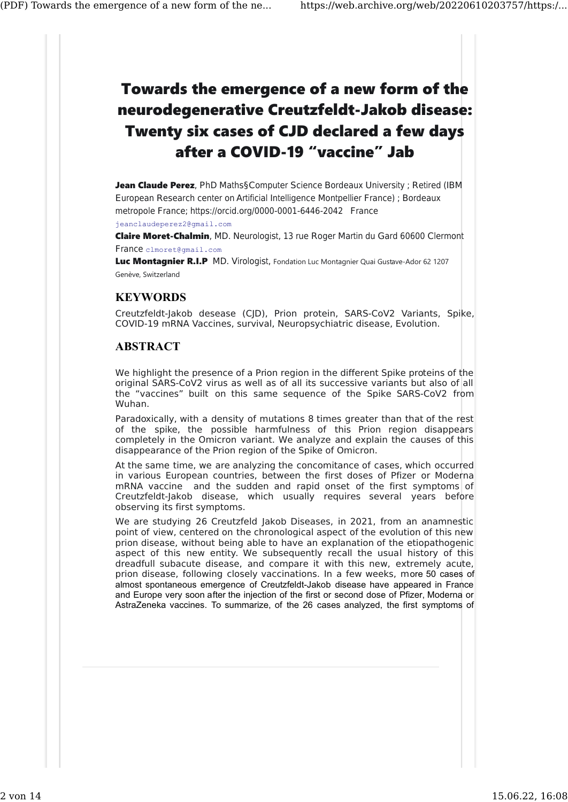## Towards the emergence of a new form of the neurodegenerative Creutzfeldt-Jakob disease: Twenty six cases of CJD declared a few days after a COVID-19 "vaccine" Jab

Jean Claude Perez, PhD Maths§Computer Science Bordeaux University ; Retired (IBM European Research center on Artificial Intelligence Montpellier France) ; Bordeaux metropole France; https://orcid.org/0000-0001-6446-2042 France

jeanclaudeperez2@gmail.com

Claire Moret-Chalmin, MD. Neurologist, 13 rue Roger Martin du Gard 60600 Clermont France clmoret@gmail.com

Luc Montagnier R.I.P MD. Virologist, Fondation Luc Montagnier Quai Gustave-Ador 62 1207 Genève, Switzerland

## **KEYWORDS**

Creutzfeldt-Jakob desease (CJD), Prion protein, SARS-CoV2 Variants, Spike, COVID-19 mRNA Vaccines, survival, Neuropsychiatric disease, Evolution.

## ABSTRACT

We highlight the presence of a Prion region in the different Spike proteins of the original SARS-CoV2 virus as well as of all its successive variants but also of all the "vaccines" built on this same sequence of the Spike SARS-CoV2 from Wuhan.

Paradoxically, with a density of mutations 8 times greater than that of the rest of the spike, the possible harmfulness of this Prion region disappears completely in the Omicron variant. We analyze and explain the causes of this disappearance of the Prion region of the Spike of Omicron.

At the same time, we are analyzing the concomitance of cases, which occurred in various European countries, between the first doses of Pfizer or Moderna mRNA vaccine and the sudden and rapid onset of the first symptoms of Creutzfeldt-Jakob disease, which usually requires several years before observing its first symptoms.

We are studying 26 Creutzfeld Jakob Diseases, in 2021, from an anamnestic point of view, centered on the chronological aspect of the evolution of this new prion disease, without being able to have an explanation of the etiopathogenic aspect of this new entity. We subsequently recall the usual history of this dreadfull subacute disease, and compare it with this new, extremely acute, prion disease, following closely vaccinations. In a few weeks, more 50 cases of almost spontaneous emergence of Creutzfeldt-Jakob disease have appeared in France and Europe very soon after the injection of the first or second dose of Pfizer, Moderna or AstraZeneka vaccines. To summarize, of the 26 cases analyzed, the first symptoms of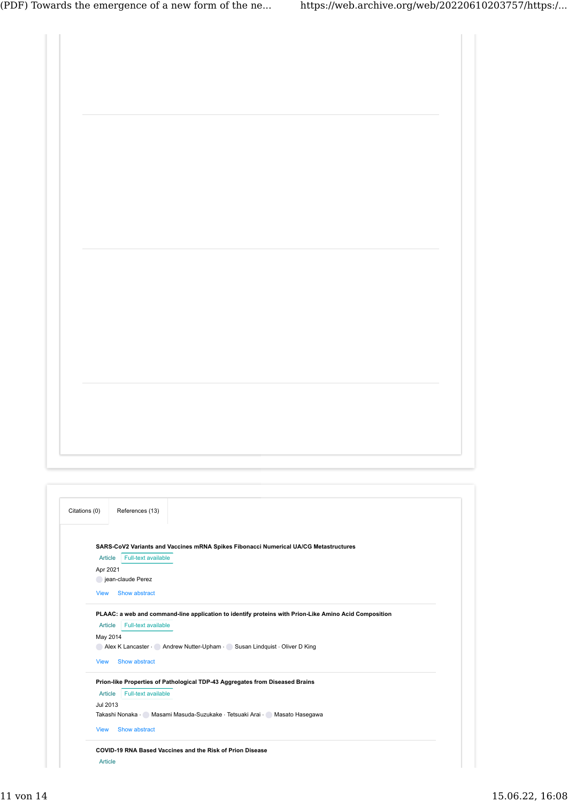| Citations (0)<br>References (13)                                                                                       |  |
|------------------------------------------------------------------------------------------------------------------------|--|
|                                                                                                                        |  |
| SARS-CoV2 Variants and Vaccines mRNA Spikes Fibonacci Numerical UA/CG Metastructures<br>Article<br>Full-text available |  |
| Apr 2021<br>jean-claude Perez                                                                                          |  |
| <b>View</b><br>Show abstract                                                                                           |  |
| PLAAC: a web and command-line application to identify proteins with Prion-Like Amino Acid Composition                  |  |
| Article Full-text available                                                                                            |  |

Article Full-text available May 2014 [Alex K Lancaster](https://web.archive.org/web/20220610203757/https://www.researchgate.net/profile/Alex-Lancaster-3) · [Andrew Nutter-Upham](https://web.archive.org/web/20220610203757/https://www.researchgate.net/profile/Andrew-Nutter-Upham) · [Susan Lindquist](https://web.archive.org/web/20220610203757/https://www.researchgate.net/profile/Susan-Lindquist) · [Oliver D King](https://web.archive.org/web/20220610203757/https://www.researchgate.net/scientific-contributions/Oliver-D-King-38988128) Article Full-text available Jul 2013 [Takashi Nonaka](https://web.archive.org/web/20220610203757/https://www.researchgate.net/scientific-contributions/Takashi-Nonaka-68058059) · [Masami Masuda-Suzukake](https://web.archive.org/web/20220610203757/https://www.researchgate.net/profile/Masami-Masuda-Suzukake) · [Tetsuaki Arai](https://web.archive.org/web/20220610203757/https://www.researchgate.net/scientific-contributions/Tetsuaki-Arai-39922016) · [Masato Hasegawa](https://web.archive.org/web/20220610203757/https://www.researchgate.net/profile/Masato-Hasegawa-2) [View](https://web.archive.org/web/20220610203757/https://www.researchgate.net/publication/262306010_PLAAC_a_web_and_command-line_application_to_identify_proteins_with_Prion-Like_Amino_Acid_Composition) Show abstract [Prion-like Properties of Pathological TDP-43 Aggregates from Diseased Brains](https://web.archive.org/web/20220610203757/https://www.researchgate.net/publication/247156047_Prion-like_Properties_of_Pathological_TDP-43_Aggregates_from_Diseased_Brains) … [View](https://web.archive.org/web/20220610203757/https://www.researchgate.net/publication/247156047_Prion-like_Properties_of_Pathological_TDP-43_Aggregates_from_Diseased_Brains) Show abstract [COVID-19 RNA Based Vaccines and the Risk of Prion Disease](https://web.archive.org/web/20220610203757/https://www.researchgate.net/publication/352148028_COVID-19_RNA_Based_Vaccines_and_the_Risk_of_Prion_Disease) …

Article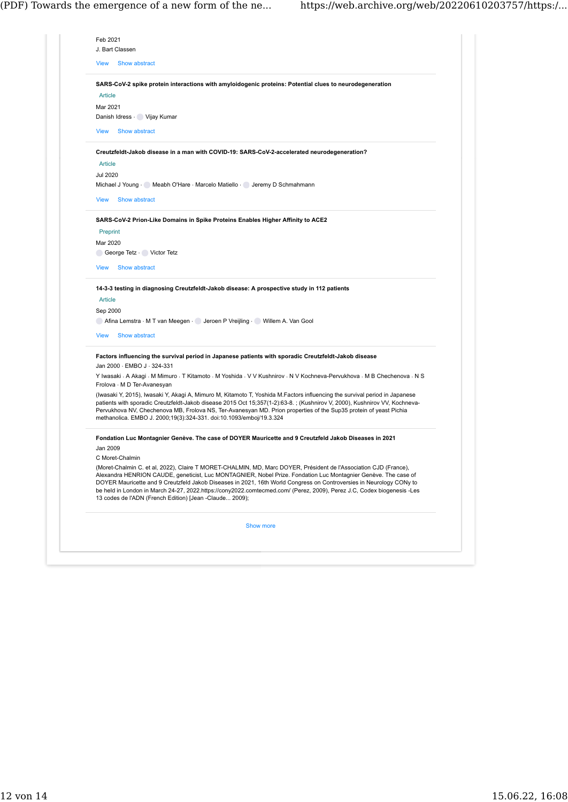| <b>View</b>                | Show abstract                                                                                                                                                                                                                                                                                                                                                                                                                                                                                                                                  |
|----------------------------|------------------------------------------------------------------------------------------------------------------------------------------------------------------------------------------------------------------------------------------------------------------------------------------------------------------------------------------------------------------------------------------------------------------------------------------------------------------------------------------------------------------------------------------------|
|                            |                                                                                                                                                                                                                                                                                                                                                                                                                                                                                                                                                |
|                            | SARS-CoV-2 spike protein interactions with amyloidogenic proteins: Potential clues to neurodegeneration                                                                                                                                                                                                                                                                                                                                                                                                                                        |
| Article                    |                                                                                                                                                                                                                                                                                                                                                                                                                                                                                                                                                |
| Mar 2021                   |                                                                                                                                                                                                                                                                                                                                                                                                                                                                                                                                                |
|                            | Danish Idress · Vijay Kumar                                                                                                                                                                                                                                                                                                                                                                                                                                                                                                                    |
| <b>View</b>                | Show abstract                                                                                                                                                                                                                                                                                                                                                                                                                                                                                                                                  |
|                            | Creutzfeldt-Jakob disease in a man with COVID-19: SARS-CoV-2-accelerated neurodegeneration?                                                                                                                                                                                                                                                                                                                                                                                                                                                    |
| Article                    |                                                                                                                                                                                                                                                                                                                                                                                                                                                                                                                                                |
| Jul 2020                   |                                                                                                                                                                                                                                                                                                                                                                                                                                                                                                                                                |
|                            | Michael J Young Meabh O'Hare Marcelo Matiello Colletemy D Schmahmann                                                                                                                                                                                                                                                                                                                                                                                                                                                                           |
| <b>View</b>                | Show abstract                                                                                                                                                                                                                                                                                                                                                                                                                                                                                                                                  |
|                            | SARS-CoV-2 Prion-Like Domains in Spike Proteins Enables Higher Affinity to ACE2                                                                                                                                                                                                                                                                                                                                                                                                                                                                |
| Preprint                   |                                                                                                                                                                                                                                                                                                                                                                                                                                                                                                                                                |
| Mar 2020                   |                                                                                                                                                                                                                                                                                                                                                                                                                                                                                                                                                |
|                            | George Tetz · Victor Tetz                                                                                                                                                                                                                                                                                                                                                                                                                                                                                                                      |
| <b>View</b>                | Show abstract                                                                                                                                                                                                                                                                                                                                                                                                                                                                                                                                  |
| <b>Article</b><br>Sep 2000 | 14-3-3 testing in diagnosing Creutzfeldt-Jakob disease: A prospective study in 112 patients                                                                                                                                                                                                                                                                                                                                                                                                                                                    |
|                            | ◯ Afina Lemstra ⋅ M T van Meegen ⋅ ◯ Jeroen P Vreijling ← ◯ Willem A. Van Gool                                                                                                                                                                                                                                                                                                                                                                                                                                                                 |
| <b>View</b>                | Show abstract                                                                                                                                                                                                                                                                                                                                                                                                                                                                                                                                  |
|                            | Factors influencing the survival period in Japanese patients with sporadic Creutzfeldt-Jakob disease<br>Jan 2000 · EMBO J · 324-331                                                                                                                                                                                                                                                                                                                                                                                                            |
|                            | Y Iwasaki · A Akagi · M Mimuro · T Kitamoto · M Yoshida · V V Kushnirov · N V Kochneva-Pervukhova · M B Chechenova · N S<br>Frolova · M D Ter-Avanesyan                                                                                                                                                                                                                                                                                                                                                                                        |
|                            | (Iwasaki Y, 2015), Iwasaki Y, Akagi A, Mimuro M, Kitamoto T, Yoshida M.Factors influencing the survival period in Japanese<br>patients with sporadic Creutzfeldt-Jakob disease 2015 Oct 15;357(1-2):63-8.; (Kushnirov V, 2000), Kushnirov VV, Kochneva-<br>Pervukhova NV, Chechenova MB, Frolova NS, Ter-Avanesyan MD. Prion properties of the Sup35 protein of yeast Pichia<br>methanolica. EMBO J. 2000;19(3):324-331. doi:10.1093/emboj/19.3.324                                                                                            |
| Jan 2009                   | Fondation Luc Montagnier Genève. The case of DOYER Mauricette and 9 Creutzfeld Jakob Diseases in 2021                                                                                                                                                                                                                                                                                                                                                                                                                                          |
|                            | C Moret-Chalmin                                                                                                                                                                                                                                                                                                                                                                                                                                                                                                                                |
|                            | (Moret-Chalmin C. et al, 2022), Claire T MORET-CHALMIN, MD, Marc DOYER, Président de l'Association CJD (France),<br>Alexandra HENRION CAUDE, geneticist, Luc MONTAGNIER, Nobel Prize. Fondation Luc Montagnier Genève. The case of<br>DOYER Mauricette and 9 Creutzfeld Jakob Diseases in 2021, 16th World Congress on Controversies in Neurology CONy to<br>be held in London in March 24-27, 2022.https://cony2022.comtecmed.com/ (Perez, 2009), Perez J.C, Codex biogenesis -Les<br>13 codes de l'ADN (French Edition) [Jean -Claude 2009); |
|                            | Show more                                                                                                                                                                                                                                                                                                                                                                                                                                                                                                                                      |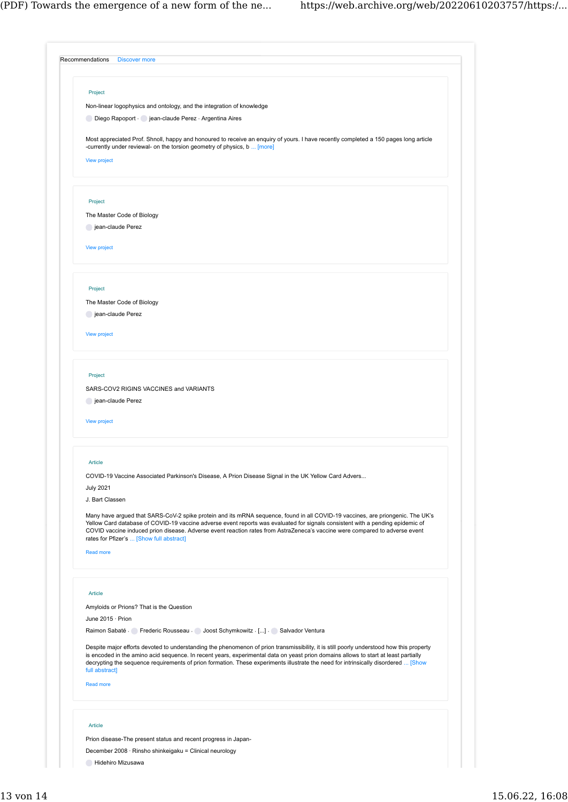| Project<br>Non-linear logophysics and ontology, and the integration of knowledge<br>Diego Rapoport · jean-claude Perez · Argentina Aires<br>Most appreciated Prof. Shnoll, happy and honoured to receive an enquiry of yours. I have recently completed a 150 pages long article<br>-currently under reviewal- on the torsion geometry of physics, b  [more]<br>View project<br>Project<br>The Master Code of Biology<br>jean-claude Perez<br><b>View project</b><br>Project<br>The Master Code of Biology<br>jean-claude Perez<br>View project<br>Project<br>SARS-COV2 RIGINS VACCINES and VARIANTS<br>jean-claude Perez<br><b>View project</b><br>Article<br>COVID-19 Vaccine Associated Parkinson's Disease, A Prion Disease Signal in the UK Yellow Card Advers<br><b>July 2021</b><br>J. Bart Classen<br>Many have argued that SARS-CoV-2 spike protein and its mRNA sequence, found in all COVID-19 vaccines, are priongenic. The UK's<br>Yellow Card database of COVID-19 vaccine adverse event reports was evaluated for signals consistent with a pending epidemic of<br>COVID vaccine induced prion disease. Adverse event reaction rates from AstraZeneca's vaccine were compared to adverse event<br>rates for Pfizer's  [Show full abstract]<br><b>Read more</b><br>Article<br>Amyloids or Prions? That is the Question<br>June 2015 · Prion<br>Raimon Sabaté · Frederic Rousseau · Joost Schymkowitz · [] · Salvador Ventura<br>Despite major efforts devoted to understanding the phenomenon of prion transmissibility, it is still poorly understood how this property<br>is encoded in the amino acid sequence. In recent years, experimental data on yeast prion domains allows to start at least partially<br>decrypting the sequence requirements of prion formation. These experiments illustrate the need for intrinsically disordered  [Show<br>full abstract]<br><b>Read more</b><br>Article |  |
|----------------------------------------------------------------------------------------------------------------------------------------------------------------------------------------------------------------------------------------------------------------------------------------------------------------------------------------------------------------------------------------------------------------------------------------------------------------------------------------------------------------------------------------------------------------------------------------------------------------------------------------------------------------------------------------------------------------------------------------------------------------------------------------------------------------------------------------------------------------------------------------------------------------------------------------------------------------------------------------------------------------------------------------------------------------------------------------------------------------------------------------------------------------------------------------------------------------------------------------------------------------------------------------------------------------------------------------------------------------------------------------------------------------------------------------------------------------------------------------------------------------------------------------------------------------------------------------------------------------------------------------------------------------------------------------------------------------------------------------------------------------------------------------------------------------------------------------------------------------------------------------------------------------------|--|
|                                                                                                                                                                                                                                                                                                                                                                                                                                                                                                                                                                                                                                                                                                                                                                                                                                                                                                                                                                                                                                                                                                                                                                                                                                                                                                                                                                                                                                                                                                                                                                                                                                                                                                                                                                                                                                                                                                                      |  |
|                                                                                                                                                                                                                                                                                                                                                                                                                                                                                                                                                                                                                                                                                                                                                                                                                                                                                                                                                                                                                                                                                                                                                                                                                                                                                                                                                                                                                                                                                                                                                                                                                                                                                                                                                                                                                                                                                                                      |  |
|                                                                                                                                                                                                                                                                                                                                                                                                                                                                                                                                                                                                                                                                                                                                                                                                                                                                                                                                                                                                                                                                                                                                                                                                                                                                                                                                                                                                                                                                                                                                                                                                                                                                                                                                                                                                                                                                                                                      |  |
|                                                                                                                                                                                                                                                                                                                                                                                                                                                                                                                                                                                                                                                                                                                                                                                                                                                                                                                                                                                                                                                                                                                                                                                                                                                                                                                                                                                                                                                                                                                                                                                                                                                                                                                                                                                                                                                                                                                      |  |
|                                                                                                                                                                                                                                                                                                                                                                                                                                                                                                                                                                                                                                                                                                                                                                                                                                                                                                                                                                                                                                                                                                                                                                                                                                                                                                                                                                                                                                                                                                                                                                                                                                                                                                                                                                                                                                                                                                                      |  |
|                                                                                                                                                                                                                                                                                                                                                                                                                                                                                                                                                                                                                                                                                                                                                                                                                                                                                                                                                                                                                                                                                                                                                                                                                                                                                                                                                                                                                                                                                                                                                                                                                                                                                                                                                                                                                                                                                                                      |  |
|                                                                                                                                                                                                                                                                                                                                                                                                                                                                                                                                                                                                                                                                                                                                                                                                                                                                                                                                                                                                                                                                                                                                                                                                                                                                                                                                                                                                                                                                                                                                                                                                                                                                                                                                                                                                                                                                                                                      |  |
|                                                                                                                                                                                                                                                                                                                                                                                                                                                                                                                                                                                                                                                                                                                                                                                                                                                                                                                                                                                                                                                                                                                                                                                                                                                                                                                                                                                                                                                                                                                                                                                                                                                                                                                                                                                                                                                                                                                      |  |
|                                                                                                                                                                                                                                                                                                                                                                                                                                                                                                                                                                                                                                                                                                                                                                                                                                                                                                                                                                                                                                                                                                                                                                                                                                                                                                                                                                                                                                                                                                                                                                                                                                                                                                                                                                                                                                                                                                                      |  |
|                                                                                                                                                                                                                                                                                                                                                                                                                                                                                                                                                                                                                                                                                                                                                                                                                                                                                                                                                                                                                                                                                                                                                                                                                                                                                                                                                                                                                                                                                                                                                                                                                                                                                                                                                                                                                                                                                                                      |  |
|                                                                                                                                                                                                                                                                                                                                                                                                                                                                                                                                                                                                                                                                                                                                                                                                                                                                                                                                                                                                                                                                                                                                                                                                                                                                                                                                                                                                                                                                                                                                                                                                                                                                                                                                                                                                                                                                                                                      |  |
|                                                                                                                                                                                                                                                                                                                                                                                                                                                                                                                                                                                                                                                                                                                                                                                                                                                                                                                                                                                                                                                                                                                                                                                                                                                                                                                                                                                                                                                                                                                                                                                                                                                                                                                                                                                                                                                                                                                      |  |
|                                                                                                                                                                                                                                                                                                                                                                                                                                                                                                                                                                                                                                                                                                                                                                                                                                                                                                                                                                                                                                                                                                                                                                                                                                                                                                                                                                                                                                                                                                                                                                                                                                                                                                                                                                                                                                                                                                                      |  |
|                                                                                                                                                                                                                                                                                                                                                                                                                                                                                                                                                                                                                                                                                                                                                                                                                                                                                                                                                                                                                                                                                                                                                                                                                                                                                                                                                                                                                                                                                                                                                                                                                                                                                                                                                                                                                                                                                                                      |  |
|                                                                                                                                                                                                                                                                                                                                                                                                                                                                                                                                                                                                                                                                                                                                                                                                                                                                                                                                                                                                                                                                                                                                                                                                                                                                                                                                                                                                                                                                                                                                                                                                                                                                                                                                                                                                                                                                                                                      |  |
|                                                                                                                                                                                                                                                                                                                                                                                                                                                                                                                                                                                                                                                                                                                                                                                                                                                                                                                                                                                                                                                                                                                                                                                                                                                                                                                                                                                                                                                                                                                                                                                                                                                                                                                                                                                                                                                                                                                      |  |
|                                                                                                                                                                                                                                                                                                                                                                                                                                                                                                                                                                                                                                                                                                                                                                                                                                                                                                                                                                                                                                                                                                                                                                                                                                                                                                                                                                                                                                                                                                                                                                                                                                                                                                                                                                                                                                                                                                                      |  |
|                                                                                                                                                                                                                                                                                                                                                                                                                                                                                                                                                                                                                                                                                                                                                                                                                                                                                                                                                                                                                                                                                                                                                                                                                                                                                                                                                                                                                                                                                                                                                                                                                                                                                                                                                                                                                                                                                                                      |  |
|                                                                                                                                                                                                                                                                                                                                                                                                                                                                                                                                                                                                                                                                                                                                                                                                                                                                                                                                                                                                                                                                                                                                                                                                                                                                                                                                                                                                                                                                                                                                                                                                                                                                                                                                                                                                                                                                                                                      |  |
|                                                                                                                                                                                                                                                                                                                                                                                                                                                                                                                                                                                                                                                                                                                                                                                                                                                                                                                                                                                                                                                                                                                                                                                                                                                                                                                                                                                                                                                                                                                                                                                                                                                                                                                                                                                                                                                                                                                      |  |
|                                                                                                                                                                                                                                                                                                                                                                                                                                                                                                                                                                                                                                                                                                                                                                                                                                                                                                                                                                                                                                                                                                                                                                                                                                                                                                                                                                                                                                                                                                                                                                                                                                                                                                                                                                                                                                                                                                                      |  |
|                                                                                                                                                                                                                                                                                                                                                                                                                                                                                                                                                                                                                                                                                                                                                                                                                                                                                                                                                                                                                                                                                                                                                                                                                                                                                                                                                                                                                                                                                                                                                                                                                                                                                                                                                                                                                                                                                                                      |  |
|                                                                                                                                                                                                                                                                                                                                                                                                                                                                                                                                                                                                                                                                                                                                                                                                                                                                                                                                                                                                                                                                                                                                                                                                                                                                                                                                                                                                                                                                                                                                                                                                                                                                                                                                                                                                                                                                                                                      |  |
|                                                                                                                                                                                                                                                                                                                                                                                                                                                                                                                                                                                                                                                                                                                                                                                                                                                                                                                                                                                                                                                                                                                                                                                                                                                                                                                                                                                                                                                                                                                                                                                                                                                                                                                                                                                                                                                                                                                      |  |
|                                                                                                                                                                                                                                                                                                                                                                                                                                                                                                                                                                                                                                                                                                                                                                                                                                                                                                                                                                                                                                                                                                                                                                                                                                                                                                                                                                                                                                                                                                                                                                                                                                                                                                                                                                                                                                                                                                                      |  |
|                                                                                                                                                                                                                                                                                                                                                                                                                                                                                                                                                                                                                                                                                                                                                                                                                                                                                                                                                                                                                                                                                                                                                                                                                                                                                                                                                                                                                                                                                                                                                                                                                                                                                                                                                                                                                                                                                                                      |  |
|                                                                                                                                                                                                                                                                                                                                                                                                                                                                                                                                                                                                                                                                                                                                                                                                                                                                                                                                                                                                                                                                                                                                                                                                                                                                                                                                                                                                                                                                                                                                                                                                                                                                                                                                                                                                                                                                                                                      |  |
|                                                                                                                                                                                                                                                                                                                                                                                                                                                                                                                                                                                                                                                                                                                                                                                                                                                                                                                                                                                                                                                                                                                                                                                                                                                                                                                                                                                                                                                                                                                                                                                                                                                                                                                                                                                                                                                                                                                      |  |
|                                                                                                                                                                                                                                                                                                                                                                                                                                                                                                                                                                                                                                                                                                                                                                                                                                                                                                                                                                                                                                                                                                                                                                                                                                                                                                                                                                                                                                                                                                                                                                                                                                                                                                                                                                                                                                                                                                                      |  |
|                                                                                                                                                                                                                                                                                                                                                                                                                                                                                                                                                                                                                                                                                                                                                                                                                                                                                                                                                                                                                                                                                                                                                                                                                                                                                                                                                                                                                                                                                                                                                                                                                                                                                                                                                                                                                                                                                                                      |  |
|                                                                                                                                                                                                                                                                                                                                                                                                                                                                                                                                                                                                                                                                                                                                                                                                                                                                                                                                                                                                                                                                                                                                                                                                                                                                                                                                                                                                                                                                                                                                                                                                                                                                                                                                                                                                                                                                                                                      |  |
|                                                                                                                                                                                                                                                                                                                                                                                                                                                                                                                                                                                                                                                                                                                                                                                                                                                                                                                                                                                                                                                                                                                                                                                                                                                                                                                                                                                                                                                                                                                                                                                                                                                                                                                                                                                                                                                                                                                      |  |
|                                                                                                                                                                                                                                                                                                                                                                                                                                                                                                                                                                                                                                                                                                                                                                                                                                                                                                                                                                                                                                                                                                                                                                                                                                                                                                                                                                                                                                                                                                                                                                                                                                                                                                                                                                                                                                                                                                                      |  |
|                                                                                                                                                                                                                                                                                                                                                                                                                                                                                                                                                                                                                                                                                                                                                                                                                                                                                                                                                                                                                                                                                                                                                                                                                                                                                                                                                                                                                                                                                                                                                                                                                                                                                                                                                                                                                                                                                                                      |  |
|                                                                                                                                                                                                                                                                                                                                                                                                                                                                                                                                                                                                                                                                                                                                                                                                                                                                                                                                                                                                                                                                                                                                                                                                                                                                                                                                                                                                                                                                                                                                                                                                                                                                                                                                                                                                                                                                                                                      |  |
|                                                                                                                                                                                                                                                                                                                                                                                                                                                                                                                                                                                                                                                                                                                                                                                                                                                                                                                                                                                                                                                                                                                                                                                                                                                                                                                                                                                                                                                                                                                                                                                                                                                                                                                                                                                                                                                                                                                      |  |
|                                                                                                                                                                                                                                                                                                                                                                                                                                                                                                                                                                                                                                                                                                                                                                                                                                                                                                                                                                                                                                                                                                                                                                                                                                                                                                                                                                                                                                                                                                                                                                                                                                                                                                                                                                                                                                                                                                                      |  |
|                                                                                                                                                                                                                                                                                                                                                                                                                                                                                                                                                                                                                                                                                                                                                                                                                                                                                                                                                                                                                                                                                                                                                                                                                                                                                                                                                                                                                                                                                                                                                                                                                                                                                                                                                                                                                                                                                                                      |  |
|                                                                                                                                                                                                                                                                                                                                                                                                                                                                                                                                                                                                                                                                                                                                                                                                                                                                                                                                                                                                                                                                                                                                                                                                                                                                                                                                                                                                                                                                                                                                                                                                                                                                                                                                                                                                                                                                                                                      |  |
|                                                                                                                                                                                                                                                                                                                                                                                                                                                                                                                                                                                                                                                                                                                                                                                                                                                                                                                                                                                                                                                                                                                                                                                                                                                                                                                                                                                                                                                                                                                                                                                                                                                                                                                                                                                                                                                                                                                      |  |
|                                                                                                                                                                                                                                                                                                                                                                                                                                                                                                                                                                                                                                                                                                                                                                                                                                                                                                                                                                                                                                                                                                                                                                                                                                                                                                                                                                                                                                                                                                                                                                                                                                                                                                                                                                                                                                                                                                                      |  |
|                                                                                                                                                                                                                                                                                                                                                                                                                                                                                                                                                                                                                                                                                                                                                                                                                                                                                                                                                                                                                                                                                                                                                                                                                                                                                                                                                                                                                                                                                                                                                                                                                                                                                                                                                                                                                                                                                                                      |  |
| Prion disease-The present status and recent progress in Japan-                                                                                                                                                                                                                                                                                                                                                                                                                                                                                                                                                                                                                                                                                                                                                                                                                                                                                                                                                                                                                                                                                                                                                                                                                                                                                                                                                                                                                                                                                                                                                                                                                                                                                                                                                                                                                                                       |  |
|                                                                                                                                                                                                                                                                                                                                                                                                                                                                                                                                                                                                                                                                                                                                                                                                                                                                                                                                                                                                                                                                                                                                                                                                                                                                                                                                                                                                                                                                                                                                                                                                                                                                                                                                                                                                                                                                                                                      |  |